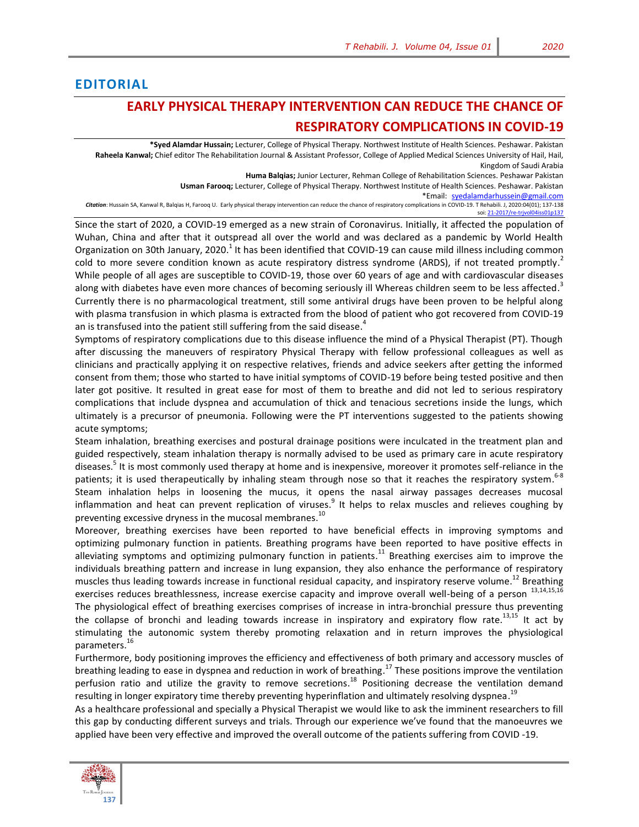## **EDITORIAL**

## **EARLY PHYSICAL THERAPY INTERVENTION CAN REDUCE THE CHANCE OF RESPIRATORY COMPLICATIONS IN COVID-19**

**\*Syed Alamdar Hussain;** Lecturer, College of Physical Therapy. Northwest Institute of Health Sciences. Peshawar. Pakistan **Raheela Kanwal;** Chief editor The Rehabilitation Journal & Assistant Professor, College of Applied Medical Sciences University of Hail, Hail, Kingdom of Saudi Arabia

**Huma Balqias;** Junior Lecturer, Rehman College of Rehabilitation Sciences. Peshawar Pakistan

**Usman Farooq;** Lecturer, College of Physical Therapy. Northwest Institute of Health Sciences. Peshawar. Pakistan

\*Email[: syedalamdarhussein@gmail.com](file:///C:/Users/SAimm/AppData/Local/Temp/Rar$DIa4980.2030/shafaq_dpt.ahs@stmu.edu.pk) *Citation*: Hussain SA, Kanwal R, Balqias H, Farooq U. Early physical therapy intervention can reduce the chance of respiratory complications in COVID-19. T Rehabili. J, 2020:04(01); 137-138 soi: 21-2017/re-triv

Since the start of 2020, a COVID-19 emerged as a new strain of Coronavirus. Initially, it affected the population of Wuhan, China and after that it outspread all over the world and was declared as a pandemic by World Health Organization on 30th January, 2020[.](#page-1-0)<sup>1</sup> It has been identified that COVID-19 can cause mild illness including common cold to more severe condition known as acute respiratory distress syndrome (ARDS), if not treated promptly[.](#page-1-1)<sup>2</sup> While people of all ages are susceptible to COVID-19, those over 60 years of age and with cardiovascular diseases along with diabetes have even more chances of becoming seriously ill Whereas children seem to be less affected[.](#page-1-2)<sup>3</sup> Currently there is no pharmacological treatment, still some antiviral drugs have been proven to be helpful along with plasma transfusion in which plasma is extracted from the blood of patient who got recovered from COVID-19 an is transfused into the patient still suffering from the said disease. $^4$  $^4$ 

Symptoms of respiratory complications due to this disease influence the mind of a Physical Therapist (PT). Though after discussing the maneuvers of respiratory Physical Therapy with fellow professional colleagues as well as clinicians and practically applying it on respective relatives, friends and advice seekers after getting the informed consent from them; those who started to have initial symptoms of COVID-19 before being tested positive and then later got positive. It resulted in great ease for most of them to breathe and did not led to serious respiratory complications that include dyspnea and accumulation of thick and tenacious secretions inside the lungs, which ultimately is a precursor of pneumonia. Following were the PT interventions suggested to the patients showing acute symptoms;

Steam inhalation, breathing exercises and postural drainage positions were inculcated in the treatment plan and guided respectively, steam inhalation therapy is normally advised to be used as primary care in acute respiratory disease[s.](#page-1-4)<sup>5</sup> It is most commonly used therapy at home and is inexpensive, moreover it promotes self-reliance in the patients; it is used therapeutically by inhaling steam through nose so that it reaches the respiratory system.<sup>[6-8](#page-1-5)</sup> Steam inhalation helps in loosening the mucus, it opens the nasal airway passages decreases mucosal inflammation and heat can prevent replication of viruses[.](#page-1-6)<sup>9</sup> It helps to relax muscles and relieves coughing by preventing excessive dryness in the mucosal membranes.<sup>[10](#page-1-7)</sup>

Moreover, breathing exercises have been reported to have beneficial effects in improving symptoms and optimizing pulmonary function in patients. Breathing programs have been reported to have positive effects in alleviating symptoms and optimizing pulmonary function in patients.<sup>[11](#page-1-8)</sup> Breathing exercises aim to improve the individuals breathing pattern and increase in lung expansion, they also enhance the performance of respiratory muscles thus leading towards increase in functional residual capacity, and inspiratory reserve volume.<sup>[12](#page-1-9)</sup> Breathing exercises reduces breathlessness, increase exercise capacity and improve overall well-being of a person  $^{13,14,15,16}$ The physiological effect of breathing exercises comprises of increase in intra-bronchial pressure thus preventing the collapse of bronchi and leading towards increase in inspiratory and expiratory flow rate.<sup>1[3,15](#page-1-10)</sup> It act by stimulating the autonomic system thereby promoting relaxation and in return improves the physiological parameters. [16](#page-1-11)

Furthermore, body positioning improves the efficiency and effectiveness of both primary and accessory muscles of breathing leading to ease in dyspnea and reduction in work of breathing.<sup>[17](#page-1-12)</sup> These positions improve the ventilation perfusion ratio and utilize the gravity to remove secretions.<sup>18</sup> Positioning decrease the ventilation demand resulting in longer expiratory time thereby preventing hyperinflation and ultimately resolving dyspnea.<sup>19</sup>

As a healthcare professional and specially a Physical Therapist we would like to ask the imminent researchers to fill this gap by conducting different surveys and trials. Through our experience we've found that the manoeuvres we applied have been very effective and improved the overall outcome of the patients suffering from COVID -19.